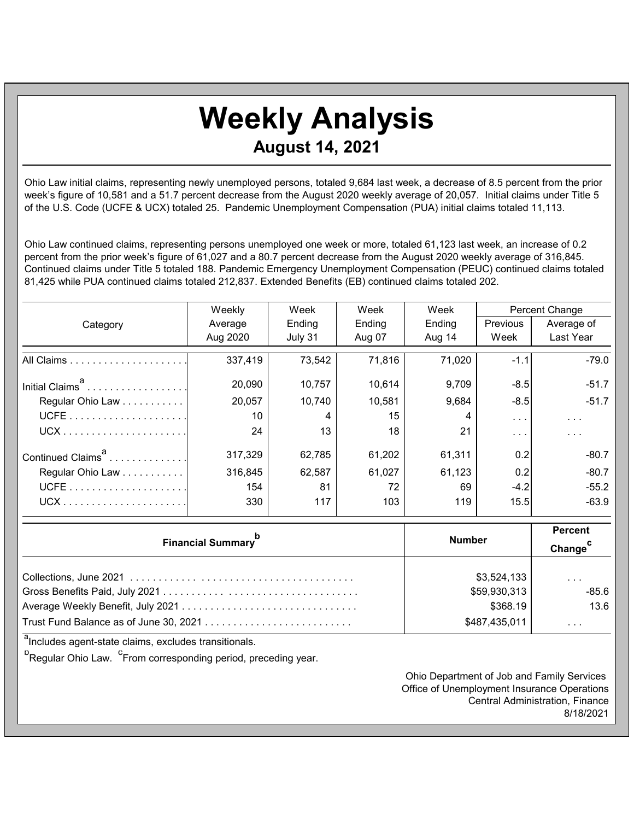## **Weekly Analysis August 14, 2021**

Ohio Law initial claims, representing newly unemployed persons, totaled 9,684 last week, a decrease of 8.5 percent from the prior week's figure of 10,581 and a 51.7 percent decrease from the August 2020 weekly average of 20,057. Initial claims under Title 5 of the U.S. Code (UCFE & UCX) totaled 25. Pandemic Unemployment Compensation (PUA) initial claims totaled 11,113.

Ohio Law continued claims, representing persons unemployed one week or more, totaled 61,123 last week, an increase of 0.2 percent from the prior week's figure of 61,027 and a 80.7 percent decrease from the August 2020 weekly average of 316,845. Continued claims under Title 5 totaled 188. Pandemic Emergency Unemployment Compensation (PEUC) continued claims totaled 81,425 while PUA continued claims totaled 212,837. Extended Benefits (EB) continued claims totaled 202.

|                               | Weekly   | Week    | Week   | Week   | Percent Change       |               |
|-------------------------------|----------|---------|--------|--------|----------------------|---------------|
| Category                      | Average  | Ending  | Ending | Ending | <b>Previous</b>      | Average of    |
|                               | Aug 2020 | July 31 | Aug 07 | Aug 14 | Week                 | Last Year     |
|                               | 337,419  | 73,542  | 71,816 | 71,020 | $-1.1$               | $-79.0$       |
| Initial Claims <sup>a</sup>   | 20,090   | 10,757  | 10,614 | 9,709  | $-8.5$               | $-51.7$       |
| Regular Ohio Law              | 20,057   | 10,740  | 10,581 | 9,684  | $-8.5$               | $-51.7$       |
|                               | 10       | 4       | 15     |        | $\sim$ $\sim$ $\sim$ | $\sim$ $\sim$ |
|                               | 24       | 13      | 18     | 21     | $\cdots$             | $\cdots$      |
| Continued Claims <sup>a</sup> | 317,329  | 62,785  | 61,202 | 61,311 | 0.2                  | $-80.7$       |
| Regular Ohio Law              | 316,845  | 62,587  | 61,027 | 61,123 | 0.2                  | $-80.7$       |
|                               | 154      | 81      | 72     | 69     | $-4.2$               | $-55.2$       |
| $UCX$                         | 330      | 117     | 103    | 119    | 15.5                 | $-63.9$       |

| <b>Financial Summary</b>               | <b>Number</b> | <b>Percent</b><br>Change <sup>C</sup> |
|----------------------------------------|---------------|---------------------------------------|
|                                        | \$3,524,133   | $\cdot$ $\cdot$ $\cdot$               |
|                                        | \$59,930,313  | $-85.6$                               |
|                                        | \$368.19      | 13.6                                  |
| Trust Fund Balance as of June 30, 2021 | \$487,435,011 | .                                     |

<sup>a</sup>Includes agent-state claims, excludes transitionals.

<sup>b</sup> Regular Ohio Law. <sup>c</sup> From corresponding period, preceding year.

Ohio Department of Job and Family Services Office of Unemployment Insurance Operations Central Administration, Finance 8/18/2021